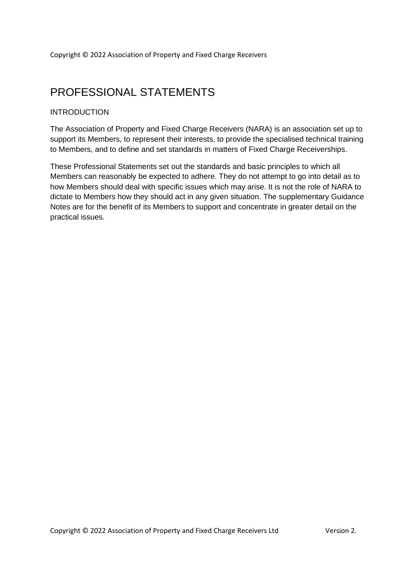## PROFESSIONAL STATEMENTS

### **INTRODUCTION**

The Association of Property and Fixed Charge Receivers (NARA) is an association set up to support its Members, to represent their interests, to provide the specialised technical training to Members, and to define and set standards in matters of Fixed Charge Receiverships.

These Professional Statements set out the standards and basic principles to which all Members can reasonably be expected to adhere. They do not attempt to go into detail as to how Members should deal with specific issues which may arise. It is not the role of NARA to dictate to Members how they should act in any given situation. The supplementary Guidance Notes are for the benefit of its Members to support and concentrate in greater detail on the practical issues.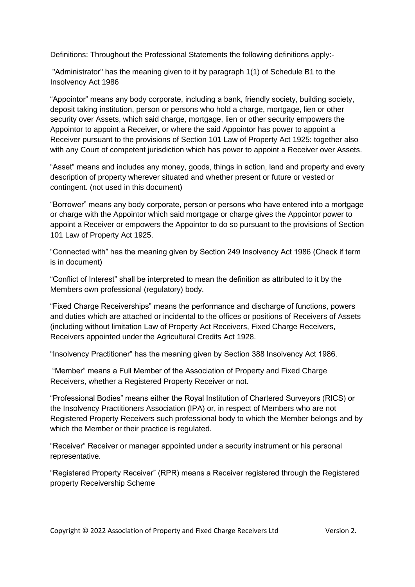Definitions: Throughout the Professional Statements the following definitions apply:-

"Administrator" has the meaning given to it by paragraph 1(1) of Schedule B1 to the Insolvency Act 1986

"Appointor" means any body corporate, including a bank, friendly society, building society, deposit taking institution, person or persons who hold a charge, mortgage, lien or other security over Assets, which said charge, mortgage, lien or other security empowers the Appointor to appoint a Receiver, or where the said Appointor has power to appoint a Receiver pursuant to the provisions of Section 101 Law of Property Act 1925: together also with any Court of competent jurisdiction which has power to appoint a Receiver over Assets.

"Asset" means and includes any money, goods, things in action, land and property and every description of property wherever situated and whether present or future or vested or contingent. (not used in this document)

"Borrower" means any body corporate, person or persons who have entered into a mortgage or charge with the Appointor which said mortgage or charge gives the Appointor power to appoint a Receiver or empowers the Appointor to do so pursuant to the provisions of Section 101 Law of Property Act 1925.

"Connected with" has the meaning given by Section 249 Insolvency Act 1986 (Check if term is in document)

"Conflict of Interest" shall be interpreted to mean the definition as attributed to it by the Members own professional (regulatory) body.

"Fixed Charge Receiverships" means the performance and discharge of functions, powers and duties which are attached or incidental to the offices or positions of Receivers of Assets (including without limitation Law of Property Act Receivers, Fixed Charge Receivers, Receivers appointed under the Agricultural Credits Act 1928.

"Insolvency Practitioner" has the meaning given by Section 388 Insolvency Act 1986.

"Member" means a Full Member of the Association of Property and Fixed Charge Receivers, whether a Registered Property Receiver or not.

"Professional Bodies" means either the Royal Institution of Chartered Surveyors (RICS) or the Insolvency Practitioners Association (IPA) or, in respect of Members who are not Registered Property Receivers such professional body to which the Member belongs and by which the Member or their practice is regulated.

"Receiver" Receiver or manager appointed under a security instrument or his personal representative.

"Registered Property Receiver" (RPR) means a Receiver registered through the Registered property Receivership Scheme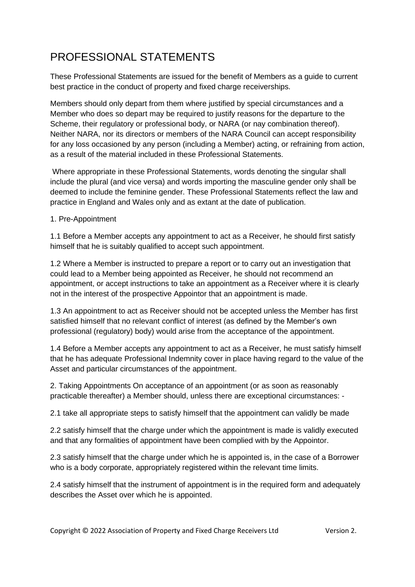# PROFESSIONAL STATEMENTS

These Professional Statements are issued for the benefit of Members as a guide to current best practice in the conduct of property and fixed charge receiverships.

Members should only depart from them where justified by special circumstances and a Member who does so depart may be required to justify reasons for the departure to the Scheme, their regulatory or professional body, or NARA (or nay combination thereof). Neither NARA, nor its directors or members of the NARA Council can accept responsibility for any loss occasioned by any person (including a Member) acting, or refraining from action, as a result of the material included in these Professional Statements.

Where appropriate in these Professional Statements, words denoting the singular shall include the plural (and vice versa) and words importing the masculine gender only shall be deemed to include the feminine gender. These Professional Statements reflect the law and practice in England and Wales only and as extant at the date of publication.

### 1. Pre-Appointment

1.1 Before a Member accepts any appointment to act as a Receiver, he should first satisfy himself that he is suitably qualified to accept such appointment.

1.2 Where a Member is instructed to prepare a report or to carry out an investigation that could lead to a Member being appointed as Receiver, he should not recommend an appointment, or accept instructions to take an appointment as a Receiver where it is clearly not in the interest of the prospective Appointor that an appointment is made.

1.3 An appointment to act as Receiver should not be accepted unless the Member has first satisfied himself that no relevant conflict of interest (as defined by the Member's own professional (regulatory) body) would arise from the acceptance of the appointment.

1.4 Before a Member accepts any appointment to act as a Receiver, he must satisfy himself that he has adequate Professional Indemnity cover in place having regard to the value of the Asset and particular circumstances of the appointment.

2. Taking Appointments On acceptance of an appointment (or as soon as reasonably practicable thereafter) a Member should, unless there are exceptional circumstances: -

2.1 take all appropriate steps to satisfy himself that the appointment can validly be made

2.2 satisfy himself that the charge under which the appointment is made is validly executed and that any formalities of appointment have been complied with by the Appointor.

2.3 satisfy himself that the charge under which he is appointed is, in the case of a Borrower who is a body corporate, appropriately registered within the relevant time limits.

2.4 satisfy himself that the instrument of appointment is in the required form and adequately describes the Asset over which he is appointed.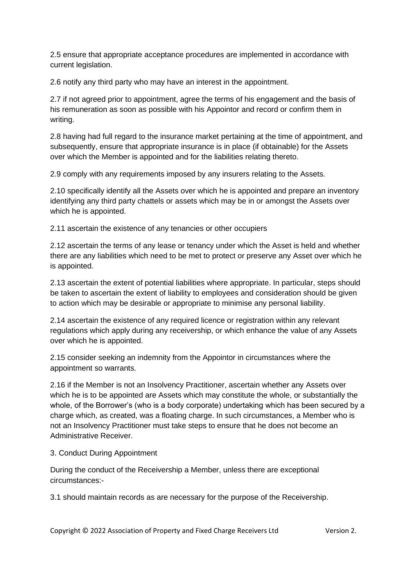2.5 ensure that appropriate acceptance procedures are implemented in accordance with current legislation.

2.6 notify any third party who may have an interest in the appointment.

2.7 if not agreed prior to appointment, agree the terms of his engagement and the basis of his remuneration as soon as possible with his Appointor and record or confirm them in writing.

2.8 having had full regard to the insurance market pertaining at the time of appointment, and subsequently, ensure that appropriate insurance is in place (if obtainable) for the Assets over which the Member is appointed and for the liabilities relating thereto.

2.9 comply with any requirements imposed by any insurers relating to the Assets.

2.10 specifically identify all the Assets over which he is appointed and prepare an inventory identifying any third party chattels or assets which may be in or amongst the Assets over which he is appointed.

2.11 ascertain the existence of any tenancies or other occupiers

2.12 ascertain the terms of any lease or tenancy under which the Asset is held and whether there are any liabilities which need to be met to protect or preserve any Asset over which he is appointed.

2.13 ascertain the extent of potential liabilities where appropriate. In particular, steps should be taken to ascertain the extent of liability to employees and consideration should be given to action which may be desirable or appropriate to minimise any personal liability.

2.14 ascertain the existence of any required licence or registration within any relevant regulations which apply during any receivership, or which enhance the value of any Assets over which he is appointed.

2.15 consider seeking an indemnity from the Appointor in circumstances where the appointment so warrants.

2.16 if the Member is not an Insolvency Practitioner, ascertain whether any Assets over which he is to be appointed are Assets which may constitute the whole, or substantially the whole, of the Borrower's (who is a body corporate) undertaking which has been secured by a charge which, as created, was a floating charge. In such circumstances, a Member who is not an Insolvency Practitioner must take steps to ensure that he does not become an Administrative Receiver.

#### 3. Conduct During Appointment

During the conduct of the Receivership a Member, unless there are exceptional circumstances:-

3.1 should maintain records as are necessary for the purpose of the Receivership.

Copyright © 2022 Association of Property and Fixed Charge Receivers Ltd Version 2.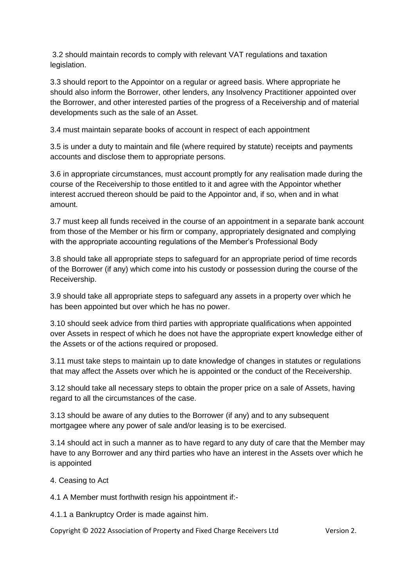3.2 should maintain records to comply with relevant VAT regulations and taxation legislation.

3.3 should report to the Appointor on a regular or agreed basis. Where appropriate he should also inform the Borrower, other lenders, any Insolvency Practitioner appointed over the Borrower, and other interested parties of the progress of a Receivership and of material developments such as the sale of an Asset.

3.4 must maintain separate books of account in respect of each appointment

3.5 is under a duty to maintain and file (where required by statute) receipts and payments accounts and disclose them to appropriate persons.

3.6 in appropriate circumstances, must account promptly for any realisation made during the course of the Receivership to those entitled to it and agree with the Appointor whether interest accrued thereon should be paid to the Appointor and, if so, when and in what amount.

3.7 must keep all funds received in the course of an appointment in a separate bank account from those of the Member or his firm or company, appropriately designated and complying with the appropriate accounting regulations of the Member's Professional Body

3.8 should take all appropriate steps to safeguard for an appropriate period of time records of the Borrower (if any) which come into his custody or possession during the course of the Receivership.

3.9 should take all appropriate steps to safeguard any assets in a property over which he has been appointed but over which he has no power.

3.10 should seek advice from third parties with appropriate qualifications when appointed over Assets in respect of which he does not have the appropriate expert knowledge either of the Assets or of the actions required or proposed.

3.11 must take steps to maintain up to date knowledge of changes in statutes or regulations that may affect the Assets over which he is appointed or the conduct of the Receivership.

3.12 should take all necessary steps to obtain the proper price on a sale of Assets, having regard to all the circumstances of the case.

3.13 should be aware of any duties to the Borrower (if any) and to any subsequent mortgagee where any power of sale and/or leasing is to be exercised.

3.14 should act in such a manner as to have regard to any duty of care that the Member may have to any Borrower and any third parties who have an interest in the Assets over which he is appointed

4. Ceasing to Act

4.1 A Member must forthwith resign his appointment if:-

4.1.1 a Bankruptcy Order is made against him.

Copyright © 2022 Association of Property and Fixed Charge Receivers Ltd Version 2.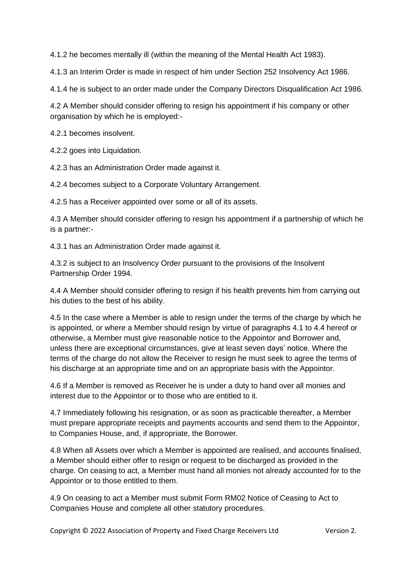4.1.2 he becomes mentally ill (within the meaning of the Mental Health Act 1983).

4.1.3 an Interim Order is made in respect of him under Section 252 Insolvency Act 1986.

4.1.4 he is subject to an order made under the Company Directors Disqualification Act 1986.

4.2 A Member should consider offering to resign his appointment if his company or other organisation by which he is employed:-

4.2.1 becomes insolvent.

4.2.2 goes into Liquidation.

4.2.3 has an Administration Order made against it.

4.2.4 becomes subject to a Corporate Voluntary Arrangement.

4.2.5 has a Receiver appointed over some or all of its assets.

4.3 A Member should consider offering to resign his appointment if a partnership of which he is a partner:-

4.3.1 has an Administration Order made against it.

4.3.2 is subject to an Insolvency Order pursuant to the provisions of the Insolvent Partnership Order 1994.

4.4 A Member should consider offering to resign if his health prevents him from carrying out his duties to the best of his ability.

4.5 In the case where a Member is able to resign under the terms of the charge by which he is appointed, or where a Member should resign by virtue of paragraphs 4.1 to 4.4 hereof or otherwise, a Member must give reasonable notice to the Appointor and Borrower and, unless there are exceptional circumstances, give at least seven days' notice. Where the terms of the charge do not allow the Receiver to resign he must seek to agree the terms of his discharge at an appropriate time and on an appropriate basis with the Appointor.

4.6 If a Member is removed as Receiver he is under a duty to hand over all monies and interest due to the Appointor or to those who are entitled to it.

4.7 Immediately following his resignation, or as soon as practicable thereafter, a Member must prepare appropriate receipts and payments accounts and send them to the Appointor, to Companies House, and, if appropriate, the Borrower.

4.8 When all Assets over which a Member is appointed are realised, and accounts finalised, a Member should either offer to resign or request to be discharged as provided in the charge. On ceasing to act, a Member must hand all monies not already accounted for to the Appointor or to those entitled to them.

4.9 On ceasing to act a Member must submit Form RM02 Notice of Ceasing to Act to Companies House and complete all other statutory procedures.

Copyright © 2022 Association of Property and Fixed Charge Receivers Ltd Version 2.